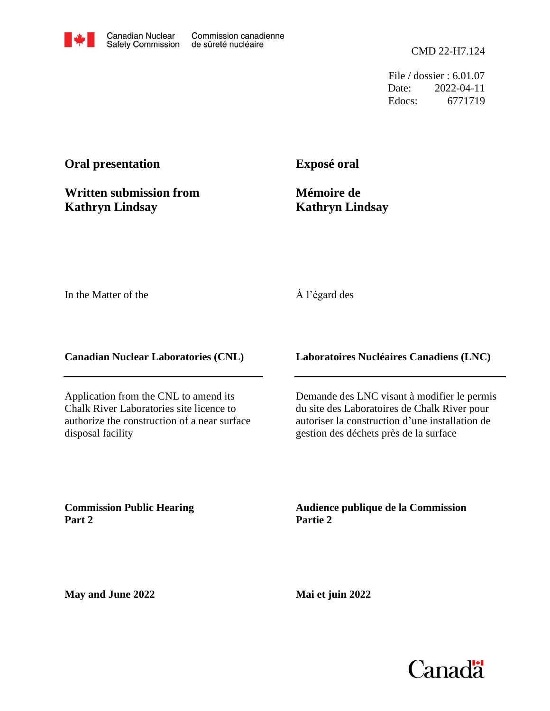File / dossier : 6.01.07 Date: 2022-04-11 Edocs: 6771719

## **Oral presentation**

**Written submission from Kathryn Lindsay**

**Exposé oral**

**Mémoire de Kathryn Lindsay**

In the Matter of the

## À l'égard des

**Canadian Nuclear Laboratories (CNL)**

Application from the CNL to amend its Chalk River Laboratories site licence to authorize the construction of a near surface disposal facility

**Laboratoires Nucléaires Canadiens (LNC)**

Demande des LNC visant à modifier le permis du site des Laboratoires de Chalk River pour autoriser la construction d'une installation de gestion des déchets près de la surface

**Commission Public Hearing Part 2**

**Audience publique de la Commission Partie 2**

**May and June 2022**

**Mai et juin 2022**

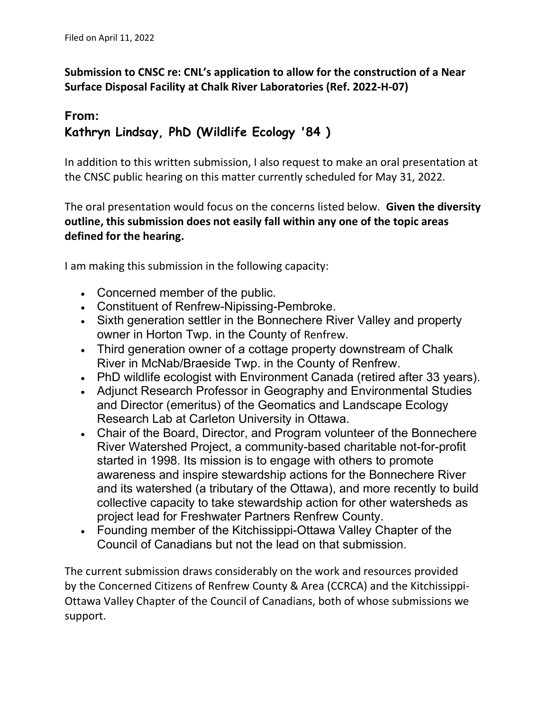Submission to CNSC re: CNL's application to allow for the construction of a Near Surface Disposal Facility at Chalk River Laboratories (Ref. 2022-H-07)

## From: Kathryn Lindsay, PhD (Wildlife Ecology '84 )

In addition to this written submission, I also request to make an oral presentation at the CNSC public hearing on this matter currently scheduled for May 31, 2022.

The oral presentation would focus on the concerns listed below. Given the diversity outline, this submission does not easily fall within any one of the topic areas defined for the hearing.

I am making this submission in the following capacity:

- Concerned member of the public.
- Constituent of Renfrew-Nipissing-Pembroke.
- Sixth generation settler in the Bonnechere River Valley and property owner in Horton Twp. in the County of Renfrew.
- Third generation owner of a cottage property downstream of Chalk River in McNab/Braeside Twp. in the County of Renfrew.
- PhD wildlife ecologist with Environment Canada (retired after 33 years).
- Adjunct Research Professor in Geography and Environmental Studies and Director (emeritus) of the Geomatics and Landscape Ecology Research Lab at Carleton University in Ottawa.
- Chair of the Board, Director, and Program volunteer of the Bonnechere River Watershed Project, a community-based charitable not-for-profit started in 1998. Its mission is to engage with others to promote awareness and inspire stewardship actions for the Bonnechere River and its watershed (a tributary of the Ottawa), and more recently to build collective capacity to take stewardship action for other watersheds as project lead for Freshwater Partners Renfrew County.
- Founding member of the Kitchissippi-Ottawa Valley Chapter of the Council of Canadians but not the lead on that submission.

The current submission draws considerably on the work and resources provided by the Concerned Citizens of Renfrew County & Area (CCRCA) and the Kitchissippi-Ottawa Valley Chapter of the Council of Canadians, both of whose submissions we support.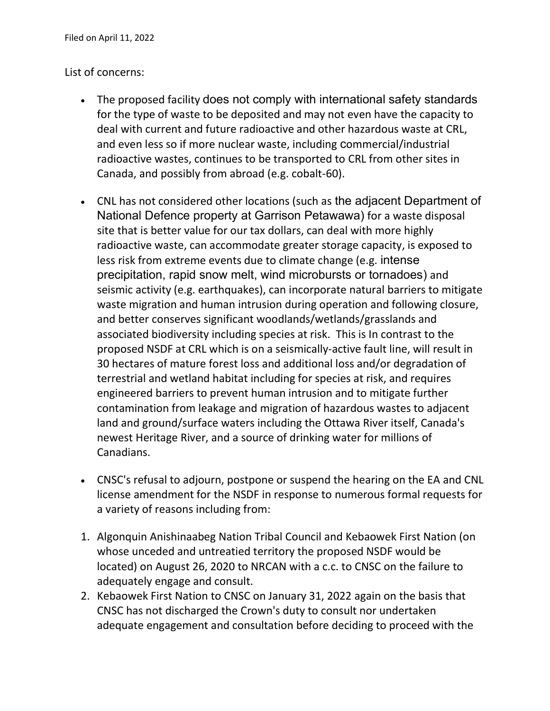## List of concerns:

- The proposed facility does not comply with international safety standards for the type of waste to be deposited and may not even have the capacity to deal with current and future radioactive and other hazardous waste at CRL, and even less so if more nuclear waste, including commercial/industrial radioactive wastes, continues to be transported to CRL from other sites in Canada, and possibly from abroad (e.g. cobalt-60).
- CNL has not considered other locations (such as the adjacent Department of National Defence property at Garrison Petawawa) for a waste disposal site that is better value for our tax dollars, can deal with more highly radioactive waste, can accommodate greater storage capacity, is exposed to less risk from extreme events due to climate change (e.g. intense precipitation, rapid snow melt, wind microbursts or tornadoes) and seismic activity (e.g. earthquakes), can incorporate natural barriers to mitigate waste migration and human intrusion during operation and following closure, and better conserves significant woodlands/wetlands/grasslands and associated biodiversity including species at risk. This is In contrast to the proposed NSDF at CRL which is on a seismically-active fault line, will result in 30 hectares of mature forest loss and additional loss and/or degradation of terrestrial and wetland habitat including for species at risk, and requires engineered barriers to prevent human intrusion and to mitigate further contamination from leakage and migration of hazardous wastes to adjacent land and ground/surface waters including the Ottawa River itself, Canada's newest Heritage River, and a source of drinking water for millions of Canadians.
- CNSC's refusal to adjourn, postpone or suspend the hearing on the EA and CNL license amendment for the NSDF in response to numerous formal requests for a variety of reasons including from:
- 1. Algonquin Anishinaabeg Nation Tribal Council and Kebaowek First Nation (on whose unceded and untreatied territory the proposed NSDF would be located) on August 26, 2020 to NRCAN with a c.c. to CNSC on the failure to adequately engage and consult.
- 2. Kebaowek First Nation to CNSC on January 31, 2022 again on the basis that CNSC has not discharged the Crown's duty to consult nor undertaken adequate engagement and consultation before deciding to proceed with the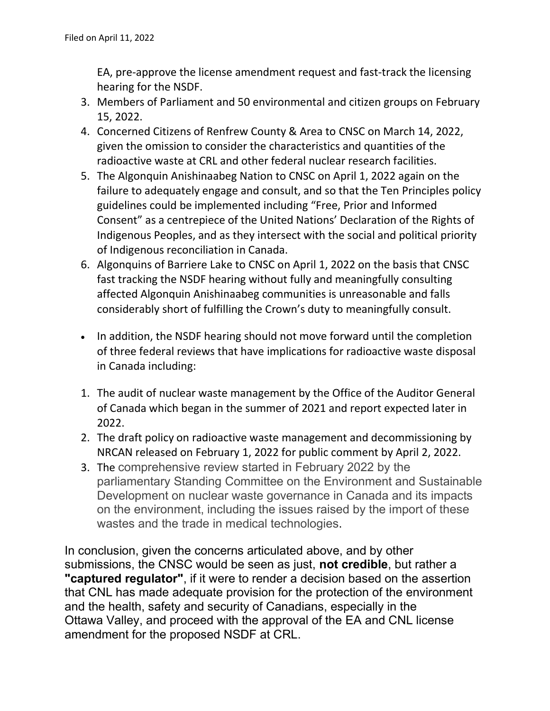EA, pre-approve the license amendment request and fast-track the licensing hearing for the NSDF.

- 3. Members of Parliament and 50 environmental and citizen groups on February 15, 2022.
- 4. Concerned Citizens of Renfrew County & Area to CNSC on March 14, 2022, given the omission to consider the characteristics and quantities of the radioactive waste at CRL and other federal nuclear research facilities.
- 5. The Algonquin Anishinaabeg Nation to CNSC on April 1, 2022 again on the failure to adequately engage and consult, and so that the Ten Principles policy guidelines could be implemented including "Free, Prior and Informed Consent" as a centrepiece of the United Nations' Declaration of the Rights of Indigenous Peoples, and as they intersect with the social and political priority of Indigenous reconciliation in Canada.
- 6. Algonquins of Barriere Lake to CNSC on April 1, 2022 on the basis that CNSC fast tracking the NSDF hearing without fully and meaningfully consulting affected Algonquin Anishinaabeg communities is unreasonable and falls considerably short of fulfilling the Crown's duty to meaningfully consult.
- In addition, the NSDF hearing should not move forward until the completion of three federal reviews that have implications for radioactive waste disposal in Canada including:
- 1. The audit of nuclear waste management by the Office of the Auditor General of Canada which began in the summer of 2021 and report expected later in 2022.
- 2. The draft policy on radioactive waste management and decommissioning by NRCAN released on February 1, 2022 for public comment by April 2, 2022.
- 3. The comprehensive review started in February 2022 by the parliamentary Standing Committee on the Environment and Sustainable Development on nuclear waste governance in Canada and its impacts on the environment, including the issues raised by the import of these wastes and the trade in medical technologies.

In conclusion, given the concerns articulated above, and by other submissions, the CNSC would be seen as just, not credible, but rather a "captured regulator", if it were to render a decision based on the assertion that CNL has made adequate provision for the protection of the environment and the health, safety and security of Canadians, especially in the Ottawa Valley, and proceed with the approval of the EA and CNL license amendment for the proposed NSDF at CRL.